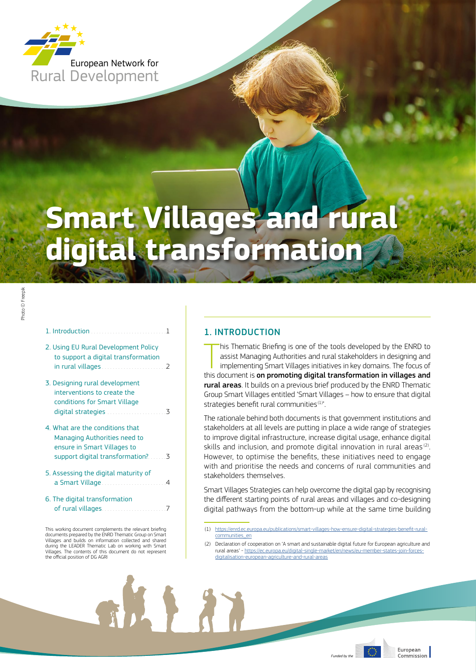

# **Smart Villages and rural**<br>digital transformation

## 1. Introduction . . . . . . . . . . . . . . .

- 2. Using EU Rural Development Policy to support a digital transformation in rural villages.  $\overline{z}$
- 3. Designing rural development interventions to create the conditions for Smart Village digital strategies
- 4. What are the conditions that Managing Authorities need to ensure in Smart Villages to support digital transformation?  $\overline{\mathbf{z}}$
- 5. Assessing the digital maturity of a Smart Village...
- 6. The digital transformation of rural villages.

 $\overline{7}$ 

新人 ???

This working document complements the relevant briefing Finally documents prepared by the ENRD Thematic Group on Smart<br>Villages and builds on information collected and shared<br>during the LEADER Thematic Lab on working with Smart Villages. The contents of this document do not represent the official position of DG AGR

# 1 INTRODUCTION

his Thematic Briefing is one of the tools developed by the ENRD to assist Managing Authorities and rural stakeholders in designing and implementing Smart Villages initiatives in key domains. The focus of this document is on promoting digital transformation in villages and rural areas. It builds on a previous brief produced by the ENRD Thematic Group Smart Villages entitled 'Smart Villages - how to ensure that digital strategies benefit rural communities<sup>(1)</sup>'.

The rationale behind both documents is that government institutions and stakeholders at all levels are putting in place a wide range of strategies to improve digital infrastructure, increase digital usage, enhance digital skills and inclusion, and promote digital innovation in rural areas<sup>(2)</sup>. However, to optimise the benefits, these initiatives need to engage with and prioritise the needs and concerns of rural communities and stakeholders themselves

Smart Villages Strategies can help overcome the digital gap by recognising the different starting points of rural areas and villages and co-designing digital pathways from the bottom-up while at the same time building

- $(1)$ https://enrd.ec.europa.eu/publications/smart-villages-how-ensure-digital-strategies-benefit-ruralcommunities en
- (2) Declaration of cooperation on 'A smart and sustainable digital future for European agriculture and rural areas' - https://ec.europa.eu/digital-single-market/en/news/eu-member-states-join-forcesdigitalisation-european-agriculture-and-rural-areas

European Commission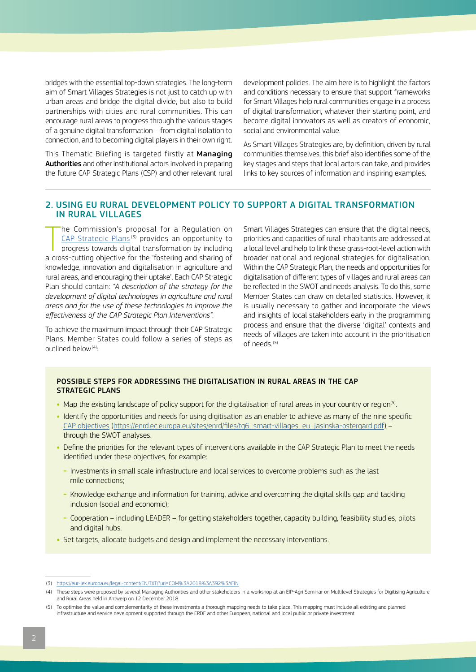<span id="page-1-0"></span>bridges with the essential top-down strategies. The long-term aim of Smart Villages Strategies is not just to catch up with urban areas and bridge the digital divide, but also to build partnerships with cities and rural communities. This can encourage rural areas to progress through the various stages of a genuine digital transformation – from digital isolation to connection, and to becoming digital players in their own right.

This Thematic Briefing is targeted firstly at Managing Authorities and other institutional actors involved in preparing the future CAP Strategic Plans (CSP) and other relevant rural

development policies. The aim here is to highlight the factors and conditions necessary to ensure that support frameworks for Smart Villages help rural communities engage in a process of digital transformation, whatever their starting point, and become digital innovators as well as creators of economic, social and environmental value.

As Smart Villages Strategies are, by definition, driven by rural communities themselves, this brief also identifies some of the key stages and steps that local actors can take, and provides links to key sources of information and inspiring examples.

# 2. USING EU RURAL DEVELOPMENT POLICY TO SUPPORT A DIGITAL TRANSFORMATION IN RURAL VILLAGES

The Commission's proposal for a Regulation on<br>
<u>CAP Strategic Plans</u><sup>(3)</sup> provides an opportunity to<br>
progress towards digital transformation by including<br>
a cross-cutting objective for the 'fostering and sharing of he Commission's proposal for a Regulation on [CAP Strategic Plans](https://eur-lex.europa.eu/legal-content/EN/TXT/?uri=COM%3A2018%3A392%3AFIN)<sup>(3)</sup> provides an opportunity to progress towards digital transformation by including knowledge, innovation and digitalisation in agriculture and rural areas, and encouraging their uptake'. Each CAP Strategic Plan should contain: *"A description of the strategy for the development of digital technologies in agriculture and rural areas and for the use of these technologies to improve the effectiveness of the CAP Strategic Plan Interventions"*.

To achieve the maximum impact through their CAP Strategic Plans, Member States could follow a series of steps as outlined below $(4)$ :

Smart Villages Strategies can ensure that the digital needs, priorities and capacities of rural inhabitants are addressed at a local level and help to link these grass-root-level action with broader national and regional strategies for digitalisation. Within the CAP Strategic Plan, the needs and opportunities for digitalisation of different types of villages and rural areas can be reflected in the SWOT and needs analysis. To do this, some Member States can draw on detailed statistics. However, it is usually necessary to gather and incorporate the views and insights of local stakeholders early in the programming process and ensure that the diverse 'digital' contexts and needs of villages are taken into account in the prioritisation of needs.(5)

## POSSIBLE STEPS FOR ADDRESSING THE DIGITALISATION IN RURAL AREAS IN THE CAP STRATEGIC PLANS

- Map the existing landscape of policy support for the digitalisation of rural areas in your country or region<sup>(5)</sup>.
- **•** Identify the opportunities and needs for using digitisation as an enabler to achieve as many of the nine specific CAP [objectives \(https://enrd.ec.europa.eu/sites/enrd/files/tg6\\_smart-villages\\_eu\\_jasinska-ostergard.pdf\)](https://enrd.ec.europa.eu/sites/enrd/files/tg6_smart-villages_eu_jasinska-ostergard.pdf) – through the SWOT analyses.
- **•** Define the priorities for the relevant types of interventions available in the CAP Strategic Plan to meet the needs identified under these objectives, for example:
	- **-** Investments in small scale infrastructure and local services to overcome problems such as the last mile connections;
	- **-** Knowledge exchange and information for training, advice and overcoming the digital skills gap and tackling inclusion (social and economic);
	- **-** Cooperation including LEADER for getting stakeholders together, capacity building, feasibility studies, pilots and digital hubs.
- Set targets, allocate budgets and design and implement the necessary interventions.

<sup>(3)</sup> <https://eur-lex.europa.eu/legal-content/EN/TXT/?uri=COM%3A2018%3A392%3AFIN>

<sup>(4)</sup> These steps were proposed by several Managing Authorities and other stakeholders in a workshop at an EIP-Agri Seminar on Multilevel Strategies for Digitising Agriculture and Rural Areas held in Antwerp on 12 December 2018.

<sup>(5)</sup> To optimise the value and complementarity of these investments a thorough mapping needs to take place. This mapping must include all existing and planned infrastructure and service development supported through the ERDF and other European, national and local public or private investment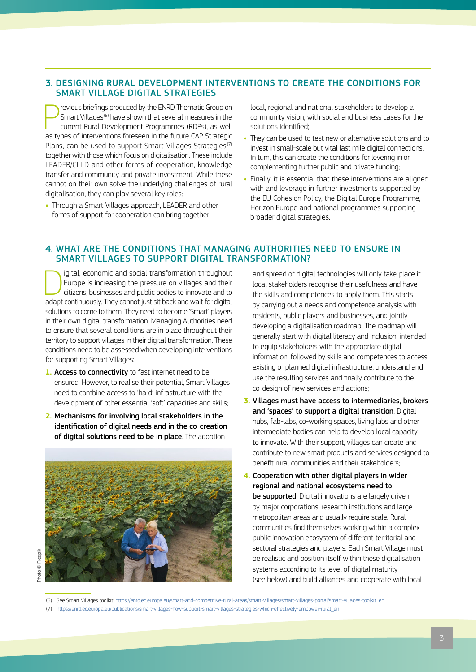# <span id="page-2-0"></span>3. DESIGNING RURAL DEVELOPMENT INTERVENTIONS TO CREATE THE CONDITIONS FOR SMART VILLAGE DIGITAL STRATEGIES

**PERECE IS NOTE THE ASSEM STATES IN STATE STATES** for Smart Villages<sup>(6)</sup> have shown that several measures in the current Rural Development Programmes (RDPs), as well as types of interventions foreseen in the future CAP St revious briefings produced by the ENRD Thematic Group on Smart Villages<sup>(6)</sup> have shown that several measures in the current Rural Development Programmes (RDPs), as well Plans, can be used to support Smart Villages Strategies<sup>(7)</sup> together with those which focus on digitalisation. These include LEADER/CLLD and other forms of cooperation, knowledge transfer and community and private investment. While these cannot on their own solve the underlying challenges of rural digitalisation, they can play several key roles:

**•** Through a Smart Villages approach, LEADER and other forms of support for cooperation can bring together

local, regional and national stakeholders to develop a community vision, with social and business cases for the solutions identified;

- **•** They can be used to test new or alternative solutions and to invest in small-scale but vital last mile digital connections. In turn, this can create the conditions for levering in or complementing further public and private funding;
- **•** Finally, it is essential that these interventions are aligned with and leverage in further investments supported by the EU Cohesion Policy, the Digital Europe Programme, Horizon Europe and national programmes supporting broader digital strategies.

## 4. WHAT ARE THE CONDITIONS THAT MANAGING AUTHORITIES NEED TO ENSURE IN SMART VILLAGES TO SUPPORT DIGITAL TRANSFORMATION?

Igital, economic and social transformation throughout<br>
Europe is increasing the pressure on villages and their<br>
citizens, businesses and public bodies to innovate and to<br>
about continuously. They cannot just sit body and w Europe is increasing the pressure on villages and their adapt continuously. They cannot just sit back and wait for digital solutions to come to them. They need to become 'Smart' players in their own digital transformation. Managing Authorities need to ensure that several conditions are in place throughout their territory to support villages in their digital transformation. These conditions need to be assessed when developing interventions for supporting Smart Villages:

- **1.** Access to connectivity to fast internet need to be ensured. However, to realise their potential, Smart Villages need to combine access to 'hard' infrastructure with the development of other essential 'soft' capacities and skills;
- **2.** Mechanisms for involving local stakeholders in the identification of digital needs and in the co-creation of digital solutions need to be in place. The adoption



Photo © Freepik hoto © Freepik

and spread of digital technologies will only take place if local stakeholders recognise their usefulness and have the skills and competences to apply them. This starts by carrying out a needs and competence analysis with residents, public players and businesses, and jointly developing a digitalisation roadmap. The roadmap will generally start with digital literacy and inclusion, intended to equip stakeholders with the appropriate digital information, followed by skills and competences to access existing or planned digital infrastructure, understand and use the resulting services and finally contribute to the co-design of new services and actions;

- **3.** Villages must have access to intermediaries, brokers and 'spaces' to support a digital transition. Digital hubs, fab-labs, co-working spaces, living labs and other intermediate bodies can help to develop local capacity to innovate. With their support, villages can create and contribute to new smart products and services designed to benefit rural communities and their stakeholders;
- **4.** Cooperation with other digital players in wider regional and national ecosystems need to be supported. Digital innovations are largely driven by major corporations, research institutions and large metropolitan areas and usually require scale. Rural communities find themselves working within a complex public innovation ecosystem of different territorial and sectoral strategies and players. Each Smart Village must be realistic and position itself within these digitalisation systems according to its level of digital maturity (see below) and build alliances and cooperate with local

(7) [https://enrd.ec.europa.eu/publications/smart-villages-how-support-smart-villages-strategies-which-effectively-empower-rural\\_en](https://enrd.ec.europa.eu/publications/smart-villages-how-support-smart-villages-strategies-which-effectively-empower-rural_en)

<sup>(6)</sup> See Smart Villages toolkit: [https://enrd.ec.europa.eu/smart-and-competitive-rural-areas/smart-villages/smart-villages-portal/smart-villages-toolkit\\_en](https://enrd.ec.europa.eu/smart-and-competitive-rural-areas/smart-villages/smart-villages-portal/smart-villages-toolkit_en)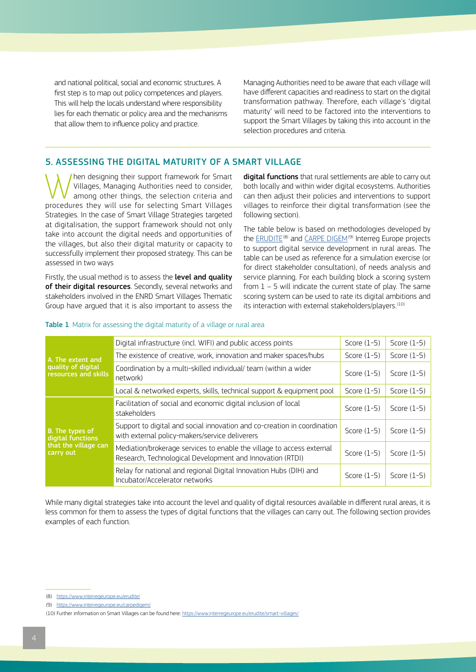<span id="page-3-0"></span>and national political, social and economic structures. A first step is to map out policy competences and players. This will help the locals understand where responsibility lies for each thematic or policy area and the mechanisms that allow them to influence policy and practice.

Managing Authorities need to be aware that each village will have different capacities and readiness to start on the digital transformation pathway. Therefore, each village's 'digital maturity' will need to be factored into the interventions to support the Smart Villages by taking this into account in the selection procedures and criteria.

# 5. ASSESSING THE DIGITAL MATURITY OF A SMART VILLAGE

When designing their support framework for Smart<br>
Villages, Managing Authorities need to consider,<br>
among other things, the selection criteria and<br>
procedures they will use for selection Smart Villages Villages, Managing Authorities need to consider, procedures they will use for selecting Smart Villages Strategies. In the case of Smart Village Strategies targeted at digitalisation, the support framework should not only take into account the digital needs and opportunities of the villages, but also their digital maturity or capacity to successfully implement their proposed strategy. This can be assessed in two ways

Firstly, the usual method is to assess the **level and quality** of their digital resources. Secondly, several networks and stakeholders involved in the ENRD Smart Villages Thematic Group have argued that it is also important to assess the

digital functions that rural settlements are able to carry out both locally and within wider digital ecosystems. Authorities can then adjust their policies and interventions to support villages to reinforce their digital transformation (see the following section).

The table below is based on methodologies developed by the [ERUDITE](https://www.interregeurope.eu/erudite/)<sup>(8)</sup> and [CARPE DIGEM](https://www.interregeurope.eu/carpedigem/)<sup>(9)</sup> Interreg Europe projects to support digital service development in rural areas. The table can be used as reference for a simulation exercise (or for direct stakeholder consultation), of needs analysis and service planning. For each building block a scoring system from 1 – 5 will indicate the current state of play. The same scoring system can be used to rate its digital ambitions and its interaction with external stakeholders/players.<sup>(10)</sup>

| A. The extent and<br>quality of digital<br>resources and skills           | Digital infrastructure (incl. WIFI) and public access points                                                                       | Score $(1-5)$ | Score $(1-5)$ |
|---------------------------------------------------------------------------|------------------------------------------------------------------------------------------------------------------------------------|---------------|---------------|
|                                                                           | The existence of creative, work, innovation and maker spaces/hubs                                                                  | Score $(1-5)$ | Score $(1-5)$ |
|                                                                           | Coordination by a multi-skilled individual/ team (within a wider<br>network)                                                       | Score $(1-5)$ | Score $(1-5)$ |
|                                                                           | Local & networked experts, skills, technical support & equipment pool                                                              | Score $(1-5)$ | Score $(1-5)$ |
| B. The types of<br>digital functions<br>that the village can<br>carry out | Facilitation of social and economic digital inclusion of local<br>stakeholders                                                     | Score $(1-5)$ | Score $(1-5)$ |
|                                                                           | Support to digital and social innovation and co-creation in coordination<br>with external policy-makers/service deliverers         | Score $(1-5)$ | Score $(1-5)$ |
|                                                                           | Mediation/brokerage services to enable the village to access external<br>Research, Technological Development and Innovation (RTDI) | Score $(1-5)$ | Score $(1-5)$ |
|                                                                           | Relay for national and regional Digital Innovation Hubs (DIH) and<br>Incubator/Accelerator networks                                | Score $(1-5)$ | Score $(1-5)$ |

#### Table 1. Matrix for assessing the digital maturity of a village or rural area

While many digital strategies take into account the level and quality of digital resources available in different rural areas, it is less common for them to assess the types of digital functions that the villages can carry out. The following section provides examples of each function.

- (8) <https://www.interregeurope.eu/erudite/>
- (9) <https://www.interregeurope.eu/carpedigem/>

<sup>(10)</sup> Further information on Smart Villages can be found here:<https://www.interregeurope.eu/erudite/smart-villages/>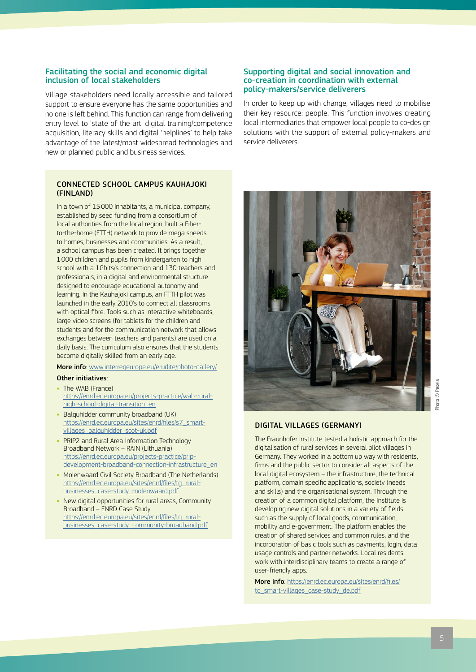## Facilitating the social and economic digital inclusion of local stakeholders

Village stakeholders need locally accessible and tailored support to ensure everyone has the same opportunities and no one is left behind. This function can range from delivering entry level to 'state of the art' digital training/competence acquisition, literacy skills and digital 'helplines' to help take advantage of the latest/most widespread technologies and new or planned public and business services.

## CONNECTED SCHOOL CAMPUS KAUHAJOKI (FINLAND)

In a town of 15000 inhabitants, a municipal company, established by seed funding from a consortium of local authorities from the local region, built a Fiberto-the-home (FTTH) network to provide mega speeds to homes, businesses and communities. As a result, a school campus has been created. It brings together 1000 children and pupils from kindergarten to high school with a 1Gbits/s connection and 130 teachers and professionals, in a digital and environmental structure designed to encourage educational autonomy and learning. In the Kauhajoki campus, an FTTH pilot was launched in the early 2010's to connect all classrooms with optical fibre. Tools such as interactive whiteboards large video screens (for tablets for the children and students and for the communication network that allows exchanges between teachers and parents) are used on a daily basis. The curriculum also ensures that the students become digitally skilled from an early age.

## More info: [www.interregeurope.eu/erudite/photo-gallery/](https://www.interregeurope.eu/erudite/photo-gallery/)

#### Other initiatives:

- **•** The WAB (France) [https://enrd.ec.europa.eu/projects-practice/wab-rural](https://enrd.ec.europa.eu/projects-practice/wab-rural-high-school-digital-transition_en)[high-school-digital-transition\\_en](https://enrd.ec.europa.eu/projects-practice/wab-rural-high-school-digital-transition_en)
- **•** Balquhidder community broadband (UK) [https://enrd.ec.europa.eu/sites/enrd/files/s7\\_smart](https://enrd.ec.europa.eu/sites/enrd/files/s7_smart-villages_balquhidder_scot-uk.pdf)[villages\\_balquhidder\\_scot-uk.pdf](https://enrd.ec.europa.eu/sites/enrd/files/s7_smart-villages_balquhidder_scot-uk.pdf)
- **•** PRIP2 and Rural Area Information Technology Broadband Network – RAIN (Lithuania) [https://enrd.ec.europa.eu/projects-practice/prip](https://enrd.ec.europa.eu/projects-practice/prip-development-broadband-connection-infrastructure_en)[development-broadband-connection-infrastructure\\_en](https://enrd.ec.europa.eu/projects-practice/prip-development-broadband-connection-infrastructure_en)
- **•** Molenwaard Civil Society Broadband (The Netherlands) [https://enrd.ec.europa.eu/sites/enrd/files/tg\\_rural](https://enrd.ec.europa.eu/sites/enrd/files/tg_rural-businesses_case-study_molenwaard.pdf)[businesses\\_case-study\\_molenwaard.pdf](https://enrd.ec.europa.eu/sites/enrd/files/tg_rural-businesses_case-study_molenwaard.pdf)
- **•** New digital opportunities for rural areas, Community Broadband – ENRD Case Study https://enrd.ec.europa.eu/sites/enrd/files/tq\_rural[businesses\\_case-study\\_community-broadband.pdf](https://enrd.ec.europa.eu/sites/enrd/files/tg_rural-businesses_case-study_community-broadband.pdf)

## Supporting digital and social innovation and co-creation in coordination with external policy‑makers/service deliverers

In order to keep up with change, villages need to mobilise their key resource: people. This function involves creating local intermediaries that empower local people to co-design solutions with the support of external policy-makers and service deliverers.



## DIGITAL VILLAGES (GERMANY)

The Fraunhofer Institute tested a holistic approach for the digitalisation of rural services in several pilot villages in Germany. They worked in a bottom up way with residents, firms and the public sector to consider all aspects of the local digital ecosystem – the infrastructure, the technical platform, domain specific applications, society (needs and skills) and the organisational system. Through the creation of a common digital platform, the Institute is developing new digital solutions in a variety of fields such as the supply of local goods, communication, mobility and e-government. The platform enables the creation of shared services and common rules, and the incorporation of basic tools such as payments, login, data usage controls and partner networks. Local residents work with interdisciplinary teams to create a range of user-friendly apps.

More info: [https://enrd.ec.europa.eu/sites/enrd/files/](https://enrd.ec.europa.eu/sites/enrd/files/tg_smart-villages_case-study_de.pdf) [tg\\_smart-villages\\_case-study\\_de.pdf](https://enrd.ec.europa.eu/sites/enrd/files/tg_smart-villages_case-study_de.pdf)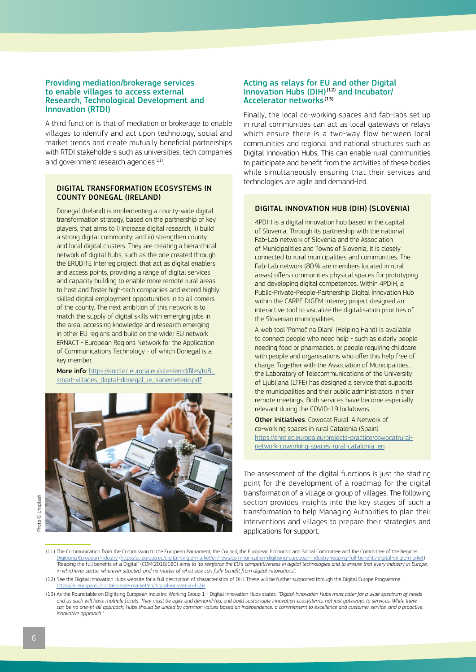### Providing mediation/brokerage services to enable villages to access external Research, Technological Development and Innovation (RTDI)

A third function is that of mediation or brokerage to enable villages to identify and act upon technology, social and market trends and create mutually beneficial partnerships with RTDI stakeholders such as universities, tech companies and government research agencies $(11)$ .

## DIGITAL TRANSFORMATION ECOSYSTEMS IN COUNTY DONEGAL (IRELAND)

Donegal (Ireland) is implementing a county-wide digital transformation strategy, based on the partnership of key players, that aims to i) increase digital research; ii) build a strong digital community; and iii) strengthen county and local digital clusters. They are creating a hierarchical network of digital hubs, such as the one created through the ERUDITE Interreg project, that act as digital enablers and access points, providing a range of digital services and capacity building to enable more remote rural areas to host and foster high-tech companies and extend highly skilled digital employment opportunities in to all corners of the county. The next ambition of this network is to match the supply of digital skills with emerging jobs in the area, accessing knowledge and research emerging in other EU regions and build on the wider EU network ERNACT - European Regions Network for the Application of Communications Technology - of which Donegal is a key member.

More info: [https://enrd.ec.europa.eu/sites/enrd/files/tg8\\_](https://enrd.ec.europa.eu/sites/enrd/files/tg8_smart-villages_digital-donegal_ie_sanemeterio.pdf) [smart-villages\\_digital-donegal\\_ie\\_sanemeterio.pdf](https://enrd.ec.europa.eu/sites/enrd/files/tg8_smart-villages_digital-donegal_ie_sanemeterio.pdf)



## Acting as relays for EU and other Digital Innovation Hubs  $(DIH)^{(12)}$  and Incubator/ Accelerator networks<sup>(13)</sup>

Finally, the local co-working spaces and fab-labs set up in rural communities can act as local gateways or relays which ensure there is a two-way flow between local communities and regional and national structures such as Digital Innovation Hubs. This can enable rural communities to participate and benefit from the activities of these bodies while simultaneously ensuring that their services and technologies are agile and demand-led.

## DIGITAL INNOVATION HUB (DIH) (SLOVENIA)

4PDIH is a digital innovation hub based in the capital of Slovenia. Through its partnership with the national Fab-Lab network of Slovenia and the Association of Municipalities and Towns of Slovenia, it is closely connected to rural municipalities and communities. The Fab-Lab network (80% are members located in rural areas) offers communities physical spaces for prototyping and developing digital competences. Within 4PDIH, a Public-Private-People-Partnership Digital Innovation Hub within the CARPE DIGEM Interreg project designed an interactive tool to visualize the digitalisation priorities of the Slovenian municipalities.

A web tool 'Pomoč na Dlani' (Helping Hand) is available to connect people who need help - such as elderly people needing food or pharmacies, or people requiring childcare with people and organisations who offer this help free of charge. Together with the Association of Municipalities, the Laboratory of Telecommunications of the University of Ljubljana (LTFE) has designed a service that supports the municipalities and their public administrators in their remote meetings. Both services have become especially relevant during the COVID-19 lockdowns.

**Other initiatives: Cowocat Rural. A Network of** co-working spaces in rural Catalonia (Spain) [https://enrd.ec.europa.eu/projects-practice/cowocatrural](https://enrd.ec.europa.eu/projects-practice/cowocatrural-network-coworking-spaces-rural-catalonia_en)[network-coworking-spaces-rural-catalonia\\_en](https://enrd.ec.europa.eu/projects-practice/cowocatrural-network-coworking-spaces-rural-catalonia_en)

The assessment of the digital functions is just the starting point for the development of a roadmap for the digital transformation of a village or group of villages. The following section provides insights into the key stages of such a transformation to help Managing Authorities to plan their interventions and villages to prepare their strategies and applications for support.

<sup>(11)</sup> The Communication from the Commission to the European Parliament, the Council, the European Economic and Social Committee and the Committee of the Regions: [Digitising European Industry](https://ec.europa.eu/digital-single-market/en/news/communication-digitising-european-industry-reaping-full-benefits-digital-single-market) [\(https://ec.europa.eu/digital-single-market/en/news/communication-digitising-european-industry-reaping-full-benefits-digital-single-market](https://ec.europa.eu/digital-single-market/en/news/communication-digitising-european-industry-reaping-full-benefits-digital-single-market)) "Reaping the full benefits of a Digital" (COM(2016)180) aims to *"to reinforce the EU's competitiveness in digital technologies and to ensure that every industry in Europe, in whichever sector, wherever situated, and no matter of what size can fully benefit from digital innovations"*.

<sup>(12)</sup> See the Digital Innovation Hubs website for a full description of characteristics of DIH. These will be further supported through the Digital Europe Programme. <https://ec.europa.eu/digital-single-market/en/digital-innovation-hubs>

<sup>(13)</sup> As the Roundtable on Digitising European Industry: Working Group 1 - Digital Innovation Hubs states: *"Digital Innovation Hubs must cater for a wide spectrum of needs*  and as such will have multiple facets. They must be agile and demand-led, and build sustainable innovation ecosystems, not just gateways to services. While there can be no one-fit-all approach, Hubs should be united by common values based on independence, a commitment to excellence and customer service, and a proactive, *innovative approach."*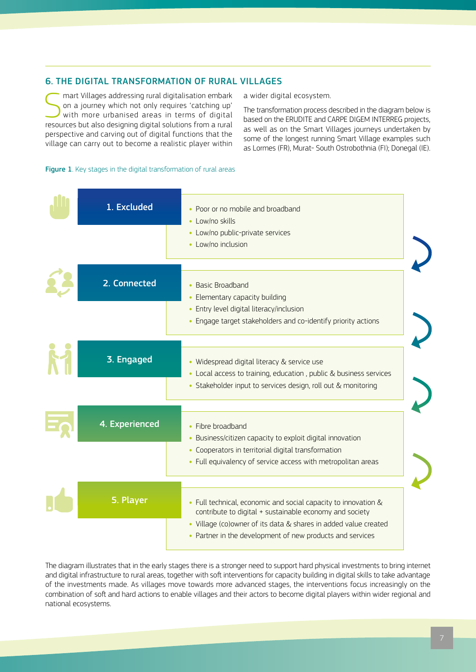# <span id="page-6-0"></span>6. THE DIGITAL TRANSFORMATION OF RURAL VILLAGES

Smart Villages addressing rural digitalisation embark<br>
on a journey which not only requires 'catching up'<br>
with more urbanised areas in terms of digital<br>
specuses but also designing digital solutions from a rural on a journey which not only requires 'catching up' resources but also designing digital solutions from a rural perspective and carving out of digital functions that the village can carry out to become a realistic player within

a wider digital ecosystem.

The transformation process described in the diagram below is based on the ERUDITE and CARPE DIGEM INTERREG projects, as well as on the Smart Villages journeys undertaken by some of the longest running Smart Village examples such as Lormes (FR), Murat- South Ostrobothnia (FI); Donegal (IE).

## Figure 1. Key stages in the digital transformation of rural areas

| 1. Excluded    | • Poor or no mobile and broadband<br>• Low/no skills                                                                                                                                                                                                      |
|----------------|-----------------------------------------------------------------------------------------------------------------------------------------------------------------------------------------------------------------------------------------------------------|
|                | • Low/no public-private services<br>• Low/no inclusion                                                                                                                                                                                                    |
| 2. Connected   | • Basic Broadband<br>• Elementary capacity building<br>• Entry level digital literacy/inclusion<br>• Engage target stakeholders and co-identify priority actions                                                                                          |
| 3. Engaged     | • Widespread digital literacy & service use<br>• Local access to training, education, public & business services<br>• Stakeholder input to services design, roll out & monitoring                                                                         |
| 4. Experienced | • Fibre broadband<br>• Business/citizen capacity to exploit digital innovation<br>• Cooperators in territorial digital transformation<br>• Full equivalency of service access with metropolitan areas                                                     |
| 5. Player      | • Full technical, economic and social capacity to innovation &<br>contribute to digital + sustainable economy and society<br>· Village (co)owner of its data & shares in added value created<br>• Partner in the development of new products and services |

The diagram illustrates that in the early stages there is a stronger need to support hard physical investments to bring internet and digital infrastructure to rural areas, together with soft interventions for capacity building in digital skills to take advantage of the investments made. As villages move towards more advanced stages, the interventions focus increasingly on the combination of soft and hard actions to enable villages and their actors to become digital players within wider regional and national ecosystems.